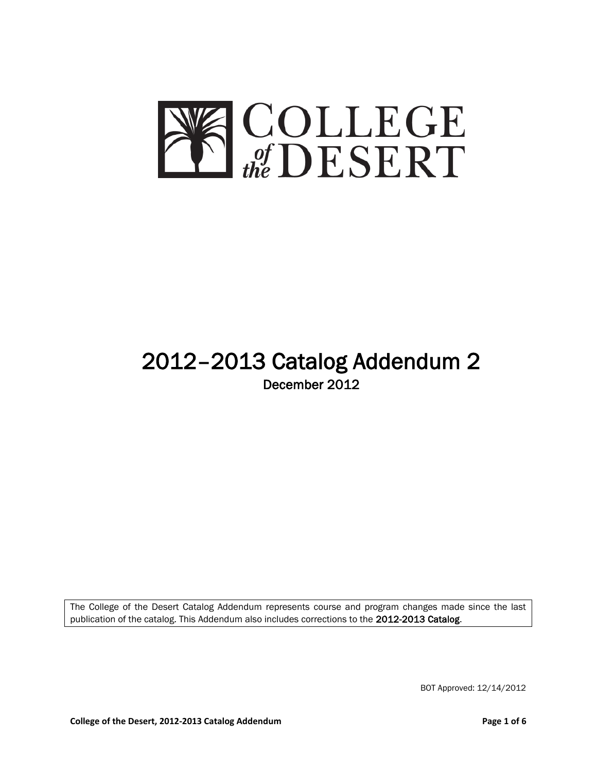

# 2012–2013 Catalog Addendum 2 December 2012

The College of the Desert Catalog Addendum represents course and program changes made since the last publication of the catalog. This Addendum also includes corrections to the 2012-2013 Catalog.

BOT Approved: 12/14/2012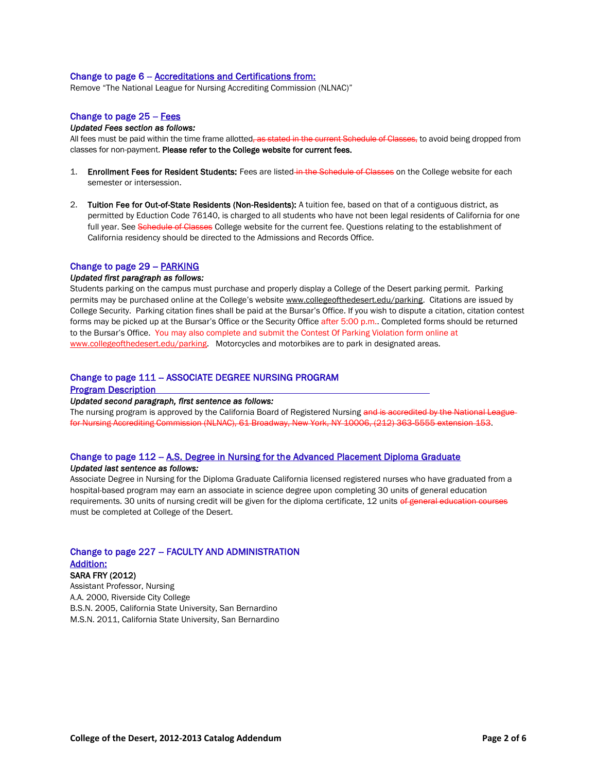#### Change to page 6 - Accreditations and Certifications from:

Remove "The National League for Nursing Accrediting Commission (NLNAC)"

# Change to page  $25 - Fees$

#### *Updated Fees section as follows:*

All fees must be paid within the time frame allotted, as stated in the current Schedule of Classes, to avoid being dropped from classes for non-payment. Please refer to the College website for current fees.

- 1. Enrollment Fees for Resident Students: Fees are listed in the Schedule of Classes on the College website for each semester or intersession.
- 2. Tuition Fee for Out-of-State Residents (Non-Residents): A tuition fee, based on that of a contiguous district, as permitted by Eduction Code 76140, is charged to all students who have not been legal residents of California for one full year. See Schedule of Classes College website for the current fee. Questions relating to the establishment of California residency should be directed to the Admissions and Records Office.

#### Change to page 29 - PARKING

#### *Updated first paragraph as follows:*

Students parking on the campus must purchase and properly display a College of the Desert parking permit. Parking permits may be purchased online at the College's website [www.collegeofthedesert.edu/parking.](http://www.collegeofthedesert.edu/parking) Citations are issued by College Security. Parking citation fines shall be paid at the Bursar's Office. If you wish to dispute a citation, citation contest forms may be picked up at the Bursar's Office or the Security Office after 5:00 p.m.. Completed forms should be returned to the Bursar's Office. You may also complete and submit the Contest Of Parking Violation form online at [www.collegeofthedesert.edu/parking.](http://www.collegeofthedesert.edu/parking) Motorcycles and motorbikes are to park in designated areas.

# Change to page 111 - ASSOCIATE DEGREE NURSING PROGRAM

Program Description

#### *Updated second paragraph, first sentence as follows:*

The nursing program is approved by the California Board of Registered Nursing and is accredited by the National League for Nursing Accrediting Commission (NLNAC), 61 Broadway, New York, NY 10006, (212) 363-5555 extension 153.

# Change to page 112 - A.S. Degree in Nursing for the Advanced Placement Diploma Graduate

# *Updated last sentence as follows:*

Associate Degree in Nursing for the Diploma Graduate California licensed registered nurses who have graduated from a hospital-based program may earn an associate in science degree upon completing 30 units of general education requirements. 30 units of nursing credit will be given for the diploma certificate, 12 units of general education courses must be completed at College of the Desert.

# Change to page 227 - FACULTY AND ADMINISTRATION Addition:

# SARA FRY (2012)

Assistant Professor, Nursing A.A. 2000, Riverside City College B.S.N. 2005, California State University, San Bernardino M.S.N. 2011, California State University, San Bernardino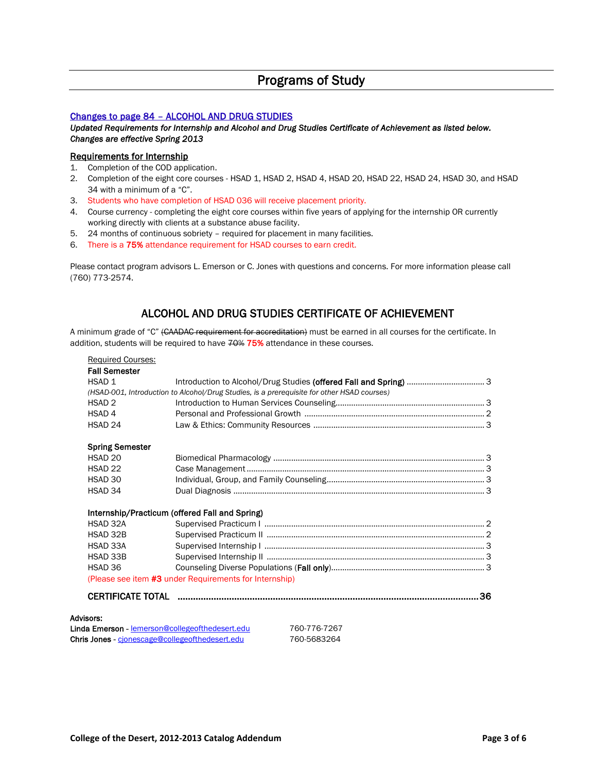# Programs of Study

# Changes to page 84 – ALCOHOL AND DRUG STUDIES

*Updated Requirements for Internship and Alcohol and Drug Studies Certificate of Achievement as listed below. Changes are effective Spring 2013*

# Requirements for Internship

- 1. Completion of the COD application.
- 2. Completion of the eight core courses HSAD 1, HSAD 2, HSAD 4, HSAD 20, HSAD 22, HSAD 24, HSAD 30, and HSAD 34 with a minimum of a "C".
- 3. Students who have completion of HSAD 036 will receive placement priority.
- 4. Course currency completing the eight core courses within five years of applying for the internship OR currently working directly with clients at a substance abuse facility.
- 5. 24 months of continuous sobriety required for placement in many facilities.
- 6. There is a 75% attendance requirement for HSAD courses to earn credit.

Please contact program advisors L. Emerson or C. Jones with questions and concerns. For more information please call (760) 773-2574.

# ALCOHOL AND DRUG STUDIES CERTIFICATE OF ACHIEVEMENT

A minimum grade of "C" (CAADAC requirement for accreditation) must be earned in all courses for the certificate. In addition, students will be required to have 70% 75% attendance in these courses.

| <b>Fall Semester</b><br>HSAD <sub>1</sub> |                                                                                            |  |
|-------------------------------------------|--------------------------------------------------------------------------------------------|--|
|                                           | (HSAD-001, Introduction to Alcohol/Drug Studies, is a prerequisite for other HSAD courses) |  |
| HSAD <sub>2</sub>                         |                                                                                            |  |
| HSAD <sub>4</sub>                         |                                                                                            |  |
| HSAD <sub>24</sub>                        |                                                                                            |  |
| <b>Spring Semester</b>                    |                                                                                            |  |
| HSAD <sub>20</sub>                        |                                                                                            |  |
| HSAD <sub>22</sub>                        |                                                                                            |  |
| HSAD 30                                   |                                                                                            |  |
| HSAD 34                                   |                                                                                            |  |
|                                           | Internship/Practicum (offered Fall and Spring)                                             |  |
| HSAD 32A                                  |                                                                                            |  |
| HSAD 32B                                  |                                                                                            |  |
| HSAD 33A                                  |                                                                                            |  |
| HSAD 33B                                  |                                                                                            |  |
| HSAD 36                                   |                                                                                            |  |
|                                           | (Please see item #3 under Requirements for Internship)                                     |  |
|                                           |                                                                                            |  |

Linda Emerson - [lemerson@collegeofthedesert.edu](mailto:lemerson@collegeofthedesert.edu) 760-776-7267 Chris Jones - [cjonescage@collegeofthedesert.edu](mailto:cjonescage@collegeofthedesert.edu) 760-5683264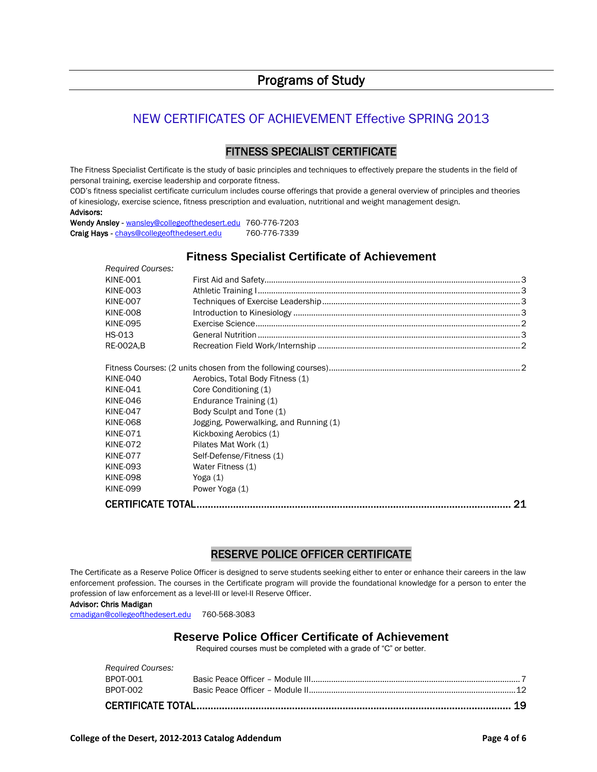# Programs of Study

# NEW CERTIFICATES OF ACHIEVEMENT Effective SPRING 2013

# FITNESS SPECIALIST CERTIFICATE

The Fitness Specialist Certificate is the study of basic principles and techniques to effectively prepare the students in the field of personal training, exercise leadership and corporate fitness.

COD's fitness specialist certificate curriculum includes course offerings that provide a general overview of principles and theories of kinesiology, exercise science, fitness prescription and evaluation, nutritional and weight management design. Advisors:

Wendy Ansley - [wansley@collegeofthedesert.edu](mailto:wansley@collegeofthedesert.edu) 760-776-7203 Craig Hays - [chays@collegeofthedesert.edu](mailto:chays@collegeofthedesert.edu) 760-776-7339

# **Fitness Specialist Certificate of Achievement**

| <b>Required Courses:</b> |                                        |  |
|--------------------------|----------------------------------------|--|
| <b>KINE-001</b>          |                                        |  |
| <b>KINE-003</b>          |                                        |  |
| <b>KINE-007</b>          |                                        |  |
| <b>KINE-008</b>          |                                        |  |
| <b>KINE-095</b>          |                                        |  |
| HS-013                   |                                        |  |
| <b>RE-002A,B</b>         |                                        |  |
|                          |                                        |  |
| <b>KINE-040</b>          | Aerobics, Total Body Fitness (1)       |  |
| <b>KINE-041</b>          | Core Conditioning (1)                  |  |
| <b>KINE-046</b>          | Endurance Training (1)                 |  |
| <b>KINE-047</b>          | Body Sculpt and Tone (1)               |  |
| <b>KINE-068</b>          | Jogging, Powerwalking, and Running (1) |  |
| <b>KINE-071</b>          | Kickboxing Aerobics (1)                |  |
| <b>KINE-072</b>          | Pilates Mat Work (1)                   |  |
| <b>KINE-077</b>          | Self-Defense/Fitness (1)               |  |
| <b>KINE-093</b>          | Water Fitness (1)                      |  |
| <b>KINE-098</b>          | Yoga $(1)$                             |  |
| <b>KINE-099</b>          | Power Yoga (1)                         |  |
|                          | 21                                     |  |

# RESERVE POLICE OFFICER CERTIFICATE

The Certificate as a Reserve Police Officer is designed to serve students seeking either to enter or enhance their careers in the law enforcement profession. The courses in the Certificate program will provide the foundational knowledge for a person to enter the profession of law enforcement as a level-III or level-II Reserve Officer.

#### Advisor: Chris Madigan

[cmadigan@collegeofthedesert.edu](mailto:cmadigan@collegeofthedesert.edu) 760-568-3083

# **Reserve Police Officer Certificate of Achievement**

Required courses must be completed with a grade of "C" or better.

| BPOT-002                 |  |  |
|--------------------------|--|--|
| BPOT-001                 |  |  |
|                          |  |  |
| <b>Required Courses:</b> |  |  |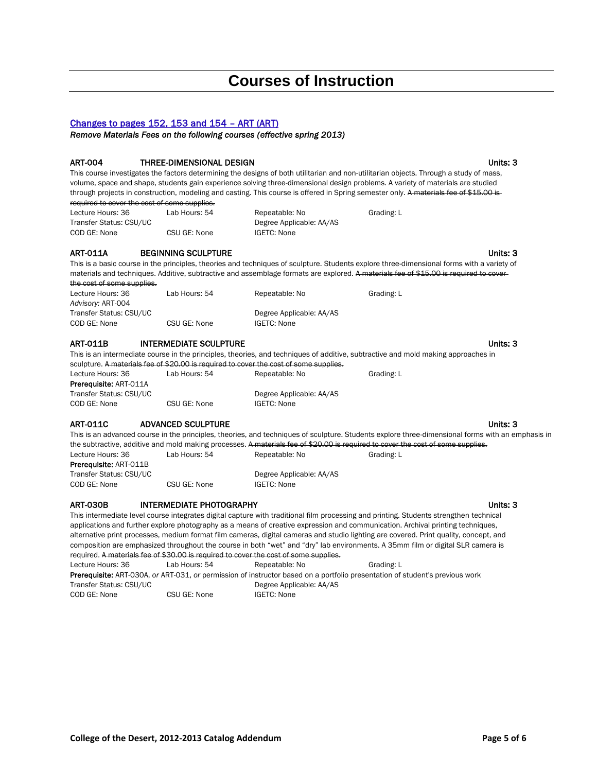# **Courses of Instruction**

# Changes to pages 152, 153 and 154 – ART (ART)

*Remove Materials Fees on the following courses (effective spring 2013)*

#### ART-004 THREE-DIMENSIONAL DESIGN Units: 3

This course investigates the factors determining the designs of both utilitarian and non-utilitarian objects. Through a study of mass, volume, space and shape, students gain experience solving three-dimensional design problems. A variety of materials are studied through projects in construction, modeling and casting. This course is offered in Spring semester only. A materials fee of \$15.00 is-

required to cover the cost of some supplies.

Lecture Hours: 36 Lab Hours: 54 Repeatable: No Grading: L Transfer Status: CSU/UC Degree Applicable: AA/AS COD GE: None CSU GE: None IGETC: None

# ART-011A BEGINNING SCULPTURE Units: 3

This is a basic course in the principles, theories and techniques of sculpture. Students explore three-dimensional forms with a variety of materials and techniques. Additive, subtractive and assemblage formats are explored. A materials fee of \$15.00 is required to coverthe cost of some supplies.

| Lecture Hours: 36       | Lab Hours: 54 | Repeatable: No           | Grading: L |
|-------------------------|---------------|--------------------------|------------|
| Advisorv: ART-004       |               |                          |            |
| Transfer Status: CSU/UC |               | Degree Applicable: AA/AS |            |
| COD GE: None            | CSU GE: None  | IGETC: None              |            |
|                         |               |                          |            |

# ART-011B INTERMEDIATE SCULPTURE IN A REAL PROPERTY CONTACT UNITS: 3

This is an intermediate course in the principles, theories, and techniques of additive, subtractive and mold making approaches in sculpture. A materials fee of \$20.00 is required to cover the cost of some supplies

| Lecture Hours: 36             | Lab Hours: 54 | Repeatable: No           | Grading: L |
|-------------------------------|---------------|--------------------------|------------|
| <b>Prerequisite: ART-011A</b> |               |                          |            |
| Transfer Status: CSU/UC       |               | Degree Applicable: AA/AS |            |
| COD GE: None<br>CSU GE: None  |               | IGETC: None              |            |
|                               |               |                          |            |

# ART-011C ADVANCED SCULPTURE NOTIFIED AND A SERVER AND THE STATE OF THE STATE OF THE STATE OF THE STATE OF THE STATE OF THE STATE OF THE STATE OF THE STATE OF THE STATE OF THE STATE OF THE STATE OF THE STATE OF THE STATE OF

This is an advanced course in the principles, theories, and techniques of sculpture. Students explore three-dimensional forms with an emphasis in the subtractive, additive and mold making processes. A materials fee of \$20.00 is required to cover the cost of some supplies. Lecture Hours: 36 Lab Hours: 54 Repeatable: No Grading: L Prerequisite: ART-011B

| 11010                   |              |                          |  |
|-------------------------|--------------|--------------------------|--|
| Transfer Status: CSU/UC |              | Degree Applicable: AA/AS |  |
| COD GE: None            | CSU GE: None | <b>IGETC: None</b>       |  |

# ART-030B INTERMEDIATE PHOTOGRAPHY INCOMEDIATE AND INSECTING A RESEARCH AND INCOMEDIATE ORDER AND INSECTING A UNITS: 3

This intermediate level course integrates digital capture with traditional film processing and printing. Students strengthen technical applications and further explore photography as a means of creative expression and communication. Archival printing techniques, alternative print processes, medium format film cameras, digital cameras and studio lighting are covered. Print quality, concept, and composition are emphasized throughout the course in both "wet" and "dry" lab environments. A 35mm film or digital SLR camera is required. A materials fee of \$30.00 is required to cover the cost of some supplies. Lecture Hours: 36 Lab Hours: 54 Repeatable: No Grading: L

Prerequisite: ART-030A, *or* ART-031, *or* permission of instructor based on a portfolio presentation of student's previous work Transfer Status: CSU/UC Degree Applicable: AA/AS COD GE: None CSU GE: None IGETC: None